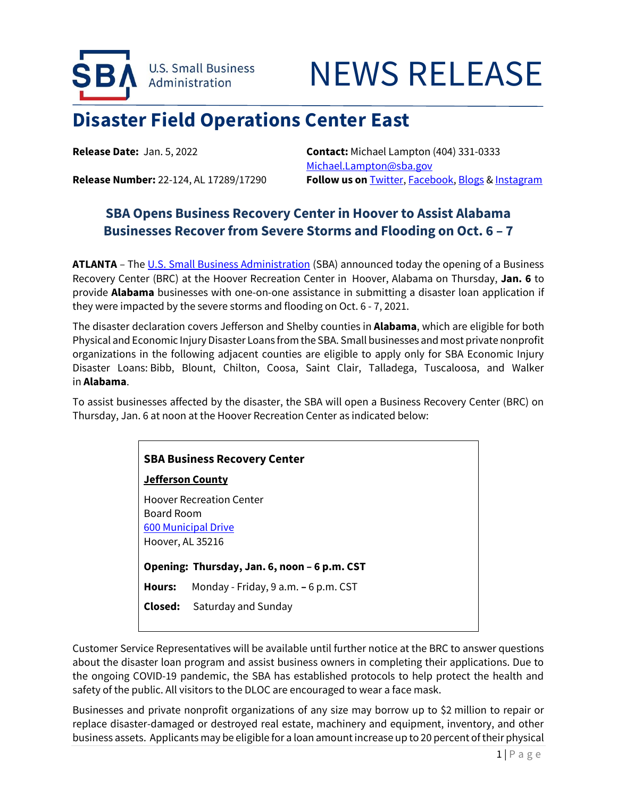

## NEWS RELEASE

## **Disaster Field Operations Center East**

**Release Date:** Jan. 5, 2022 **Contact:** Michael Lampton (404) 331-0333 [Michael.Lampton@sba.gov](mailto:Michael.Lampton@sba.gov) **Release Number:** 22-124, AL 17289/17290 **Follow us on** [Twitter,](http://www.twitter.com/SBAgov) [Facebook,](http://www.facebook.com/sbagov) [Blogs](http://www.sba.gov/blogs) & [Instagram](https://www.instagram.com/sbagov/)

## **SBA Opens Business Recovery Center in Hoover to Assist Alabama Businesses Recover from Severe Storms and Flooding on Oct. 6 – 7**

ATLANTA – The U.S. [Small Business Administration](https://www.sba.gov/) (SBA) announced today the opening of a Business Recovery Center (BRC) at the Hoover Recreation Center in Hoover, Alabama on Thursday, **Jan. 6** to provide **Alabama** businesses with one-on-one assistance in submitting a disaster loan application if they were impacted by the severe storms and flooding on Oct. 6 - 7, 2021.

The disaster declaration covers Jefferson and Shelby counties in **Alabama**, which are eligible for both Physical and Economic Injury Disaster Loans from the SBA. Small businesses and most private nonprofit organizations in the following adjacent counties are eligible to apply only for SBA Economic Injury Disaster Loans: Bibb, Blount, Chilton, Coosa, Saint Clair, Talladega, Tuscaloosa, and Walker in **Alabama**.

To assist businesses affected by the disaster, the SBA will open a Business Recovery Center (BRC) on Thursday, Jan. 6 at noon at the Hoover Recreation Center as indicated below:

| <b>SBA Business Recovery Center</b>                                                             |                                      |
|-------------------------------------------------------------------------------------------------|--------------------------------------|
| Jefferson County                                                                                |                                      |
| <b>Hoover Recreation Center</b><br>Board Room<br><b>600 Municipal Drive</b><br>Hoover, AL 35216 |                                      |
| Opening: Thursday, Jan. 6, noon – 6 p.m. CST                                                    |                                      |
| Hours:                                                                                          | Monday - Friday, 9 a.m. – 6 p.m. CST |
|                                                                                                 | <b>Closed:</b> Saturday and Sunday   |
|                                                                                                 |                                      |

Customer Service Representatives will be available until further notice at the BRC to answer questions about the disaster loan program and assist business owners in completing their applications. Due to the ongoing COVID-19 pandemic, the SBA has established protocols to help protect the health and safety of the public. All visitors to the DLOC are encouraged to wear a face mask.

Businesses and private nonprofit organizations of any size may borrow up to \$2 million to repair or replace disaster-damaged or destroyed real estate, machinery and equipment, inventory, and other business assets. Applicants may be eligible for a loan amount increase up to 20 percent of their physical